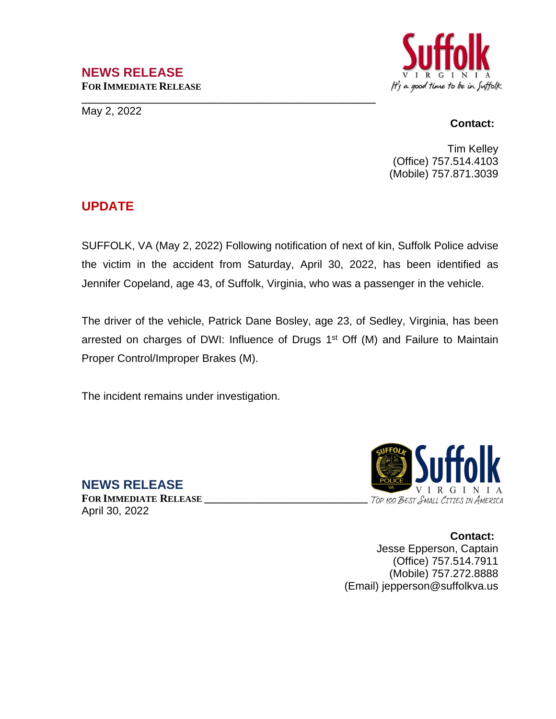### **NEWS RELEASE FOR IMMEDIATE RELEASE**

**\_\_\_\_\_\_\_\_\_\_\_\_\_\_\_\_\_\_\_\_\_\_\_\_\_\_\_\_\_\_\_\_\_\_\_\_\_\_\_\_\_\_\_\_\_\_\_\_\_\_\_\_\_\_**

May 2, 2022



#### **Contact:**

Tim Kelley (Office) 757.514.4103 (Mobile) 757.871.3039

# **UPDATE**

SUFFOLK, VA (May 2, 2022) Following notification of next of kin, Suffolk Police advise the victim in the accident from Saturday, April 30, 2022, has been identified as Jennifer Copeland, age 43, of Suffolk, Virginia, who was a passenger in the vehicle.

The driver of the vehicle, Patrick Dane Bosley, age 23, of Sedley, Virginia, has been arrested on charges of DWI: Influence of Drugs 1<sup>st</sup> Off (M) and Failure to Maintain Proper Control/Improper Brakes (M).

The incident remains under investigation.

**NEWS RELEASE FOR IMMEDIATE RELEASE \_\_\_\_\_\_\_\_\_\_\_\_\_\_\_\_\_\_\_\_\_\_\_\_\_\_\_\_\_\_** April 30, 2022



**Contact:** Jesse Epperson, Captain (Office) 757.514.7911 (Mobile) 757.272.8888 (Email) jepperson@suffolkva.us